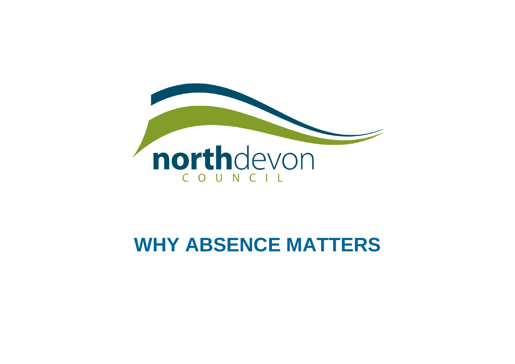

# **WHY ABSENCE MATTERS**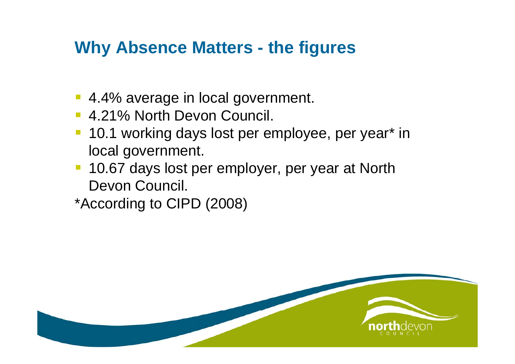#### **Why Absence Matters - the figures**

- 4.4% average in local government.
- 4.21% North Devon Council.
- 10.1 working days lost per employee, per year\* in local government.
- 10.67 days lost per employer, per year at North Devon Council.
- \*According to CIPD (2008)

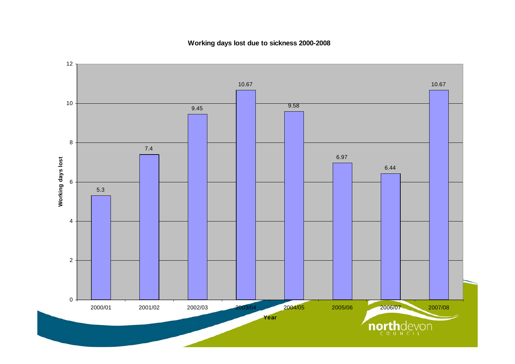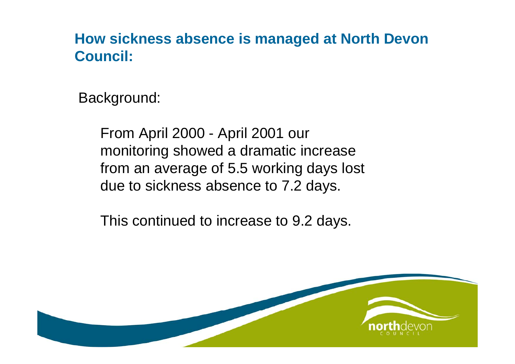#### **How sickness absence is managed at North Devon Council:**

Background:

From April 2000 - April 2001 our monitoring showed a dramatic increase from an average of 5.5 working days lost due to sickness absence to 7.2 days.

This continued to increase to 9.2 days.

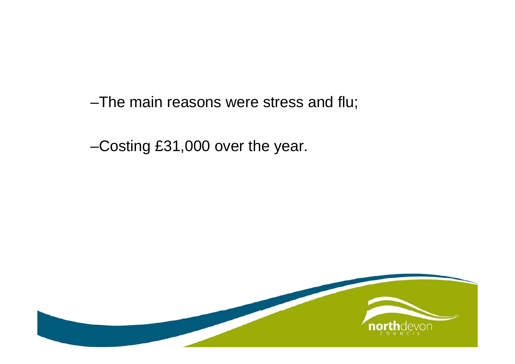–The main reasons were stress and flu;

–Costing £31,000 over the year.

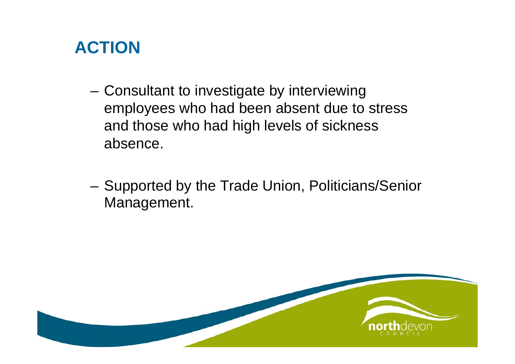### **ACTION**

- Consultant to investigate by interviewing employees who had been absent due to stress and those who had high levels of sickness absence.
- Supported by the Trade Union, Politicians/Senior Management.

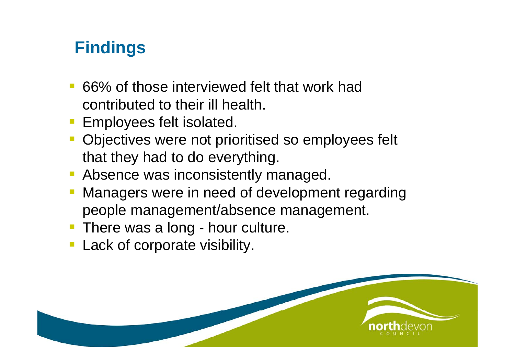# **Findings**

- 66% of those interviewed felt that work had contributed to their ill health.
- Employees felt isolated.
- **Objectives were not prioritised so employees felt** that they had to do everything.
- **Absence was inconsistently managed.**
- Managers were in need of development regarding people management/absence management.
- **There was a long hour culture.**
- **Lack of corporate visibility.**

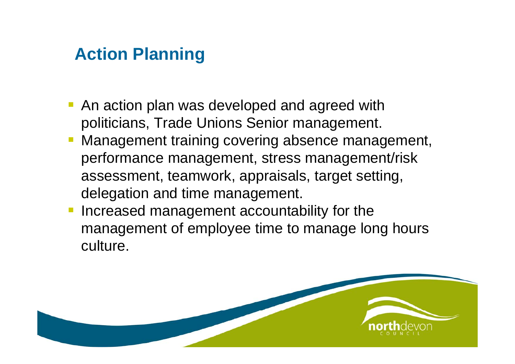# **Action Planning**

- **An action plan was developed and agreed with** politicians, Trade Unions Senior management.
- Management training covering absence management, performance management, stress management/risk assessment, teamwork, appraisals, target setting, delegation and time management.
- Increased management accountability for the management of employee time to manage long hours culture.

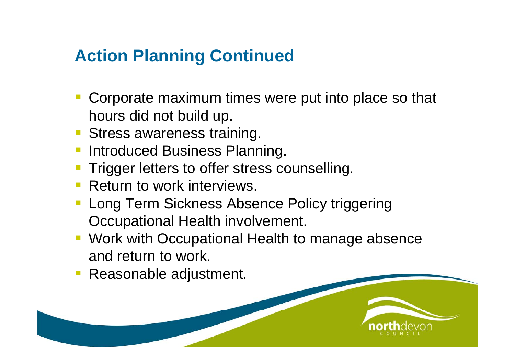# **Action Planning Continued**

- Corporate maximum times were put into place so that hours did not build up.
- **Stress awareness training.**
- Introduced Business Planning.
- Trigger letters to offer stress counselling.
- **Return to work interviews.**
- Long Term Sickness Absence Policy triggering Occupational Health involvement.
- Work with Occupational Health to manage absence and return to work.
- Reasonable adjustment.

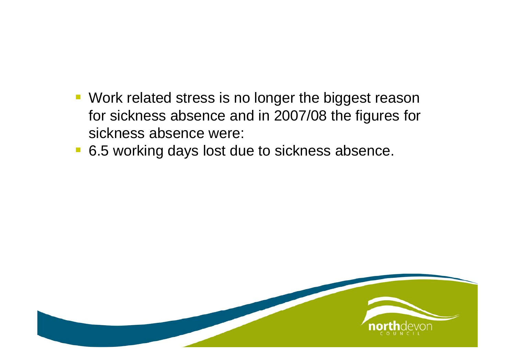- **Work related stress is no longer the biggest reason** for sickness absence and in 2007/08 the figures for sickness absence were:
- 6.5 working days lost due to sickness absence.

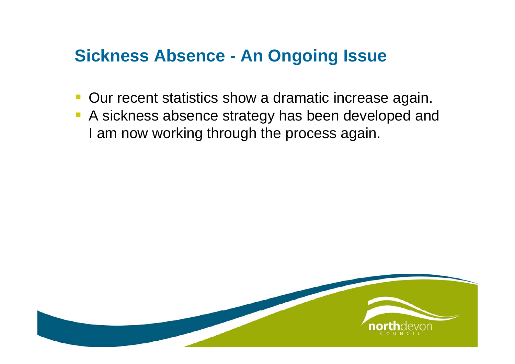#### **Sickness Absence - An Ongoing Issue**

- **Our recent statistics show a dramatic increase again.**
- **A** sickness absence strategy has been developed and I am now working through the process again.